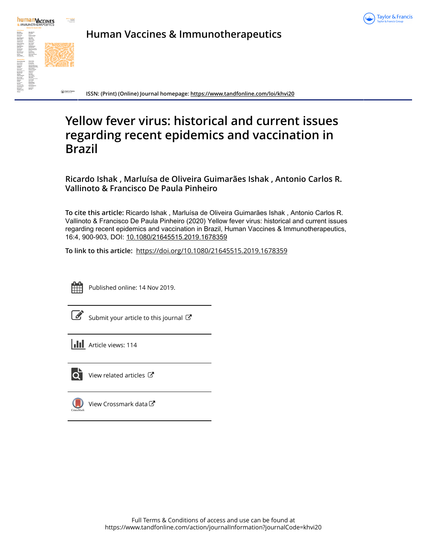



**Human Vaccines & Immunotherapeutics**

**ISSN: (Print) (Online) Journal homepage:<https://www.tandfonline.com/loi/khvi20>**

# **Yellow fever virus: historical and current issues regarding recent epidemics and vaccination in Brazil**

**Ricardo Ishak , Marluísa de Oliveira Guimarães Ishak , Antonio Carlos R. Vallinoto & Francisco De Paula Pinheiro**

**To cite this article:** Ricardo Ishak , Marluísa de Oliveira Guimarães Ishak , Antonio Carlos R. Vallinoto & Francisco De Paula Pinheiro (2020) Yellow fever virus: historical and current issues regarding recent epidemics and vaccination in Brazil, Human Vaccines & Immunotherapeutics, 16:4, 900-903, DOI: [10.1080/21645515.2019.1678359](https://www.tandfonline.com/action/showCitFormats?doi=10.1080/21645515.2019.1678359)

**To link to this article:** <https://doi.org/10.1080/21645515.2019.1678359>



Published online: 14 Nov 2019.

Submit your article to this journal

**Article views: 114** 



[View related articles](https://www.tandfonline.com/doi/mlt/10.1080/21645515.2019.1678359) C



[View Crossmark data](http://crossmark.crossref.org/dialog/?doi=10.1080/21645515.2019.1678359&domain=pdf&date_stamp=2019-11-14)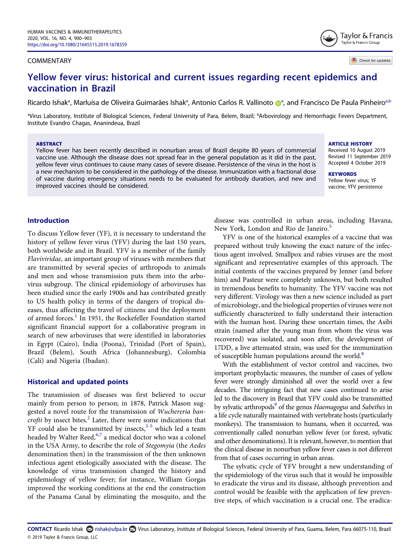#### COMMENTARY

Check for updates

Taylor & Francis Taylor & Francis Group

# Yellow fever virus: historical and current issues regarding recent epidemics and vaccination in Brazil

Ricard[o](http://orcid.org/0000-0003-1135-6507) Ish[a](#page-1-0)k<sup>a</sup>, Marluísa de Oliveira Guimarães Ishak<sup>a</sup>, Antonio Carlos R. Vallinoto **D**ª, and Francisco De Paula Pinheiro<sup>a,b</sup>

<span id="page-1-0"></span>aVirus Laboratory, Institute of Biological Sciences, Federal University of Para, Belem, Brazil; <sup>b</sup>Arbovirology and Hemorrhagic Fevers Department, Institute Evandro Chagas, Ananindeua, Brazil

#### ABSTRACT

Yellow fever has been recently described in nonurban areas of Brazil despite 80 years of commercial vaccine use. Although the disease does not spread fear in the general population as it did in the past, yellow fever virus continues to cause many cases of severe disease. Persistence of the virus in the host is a new mechanism to be considered in the pathology of the disease. Immunization with a fractional dose of vaccine during emergency situations needs to be evaluated for antibody duration, and new and improved vaccines should be considered.

#### ARTICLE HISTORY

Received 10 August 2019 Revised 11 September 2019 Accepted 4 October 2019

**KEYWORDS** Yellow fever virus; YF vaccine; YFV persistence

## Introduction

To discuss Yellow fever (YF), it is necessary to understand the history of yellow fever virus (YFV) during the last 150 years, both worldwide and in Brazil. YFV is a member of the family Flaviviridae, an important group of viruses with members that are transmitted by several species of arthropods to animals and men and whose transmission puts them into the arbovirus subgroup. The clinical epidemiology of arboviruses has been studied since the early 1900s and has contributed greatly to US health policy in terms of the dangers of tropical diseases, thus affecting the travel of citizens and the deployment of armed forces.<sup>[1](#page-3-0)</sup> In 1951, the Rockefeller Foundation started significant financial support for a collaborative program in search of new arboviruses that were identified in laboratories in Egypt (Cairo), India (Poona), Trinidad (Port of Spain), Brazil (Belem), South Africa (Johannesburg), Colombia (Cali) and Nigeria (Ibadan).

#### <span id="page-1-1"></span>Historical and updated points

<span id="page-1-5"></span><span id="page-1-3"></span><span id="page-1-2"></span>The transmission of diseases was first believed to occur mainly from person to person; in 1878, Patrick Mason suggested a novel route for the transmission of Wuchereria bancrofti by insect bites. $2$  Later, there were some indications that  $YF$  could also be transmitted by insects,  $3-5$  $3-5$  which led a team headed by Walter Reed, <sup>[6,](#page-3-4)[7](#page-3-5)</sup> a medical doctor who was a colonel in the USA Army, to describe the role of Stegomyia (the Aedes denomination then) in the transmission of the then unknown infectious agent etiologically associated with the disease. The knowledge of virus transmission changed the history and epidemiology of yellow fever; for instance, William Gorgas improved the working conditions at the end the construction of the Panama Canal by eliminating the mosquito, and the

<span id="page-1-4"></span>disease was controlled in urban areas, including Havana, New York, London and Rio de Janeiro.<sup>5</sup>

YFV is one of the historical examples of a vaccine that was prepared without truly knowing the exact nature of the infectious agent involved. Smallpox and rabies viruses are the most significant and representative examples of this approach. The initial contents of the vaccines prepared by Jenner (and before him) and Pasteur were completely unknown, but both resulted in tremendous benefits to humanity. The YFV vaccine was not very different. Virology was then a new science included as part of microbiology, and the biological properties of viruses were not sufficiently characterized to fully understand their interaction with the human host. During these uncertain times, the Asibi strain (named after the young man from whom the virus was recovered) was isolated, and soon after, the development of 17DD, a live attenuated strain, was used for the immunization of susceptible human populations around the world.<sup>8</sup>

<span id="page-1-7"></span><span id="page-1-6"></span>With the establishment of vector control and vaccines, two important prophylactic measures, the number of cases of yellow fever were strongly diminished all over the world over a few decades. The intriguing fact that new cases continued to arise led to the discovery in Brazil that YFV could also be transmitted by sylvatic arthropods<sup>9</sup> of the genus Haemagogus and Sabethes in a life cycle naturally maintained with vertebrate hosts (particularly monkeys). The transmission to humans, when it occurred, was conventionally called nonurban yellow fever (or forest, sylvatic and other denominations). It is relevant, however, to mention that the clinical disease in nonurban yellow fever cases is not different from that of cases occurring in urban areas.

The sylvatic cycle of YFV brought a new understanding of the epidemiology of the virus such that it would be impossible to eradicate the virus and its disease, although prevention and control would be feasible with the application of few preventive steps, of which vaccination is a crucial one. The eradica-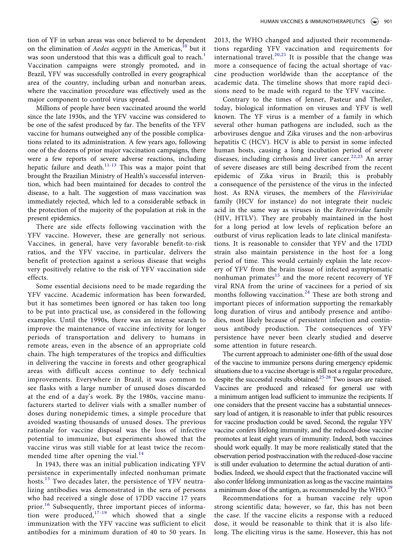<span id="page-2-0"></span>tion of YF in urban areas was once believed to be dependent on the elimination of *Aedes aegypti* in the Americas,<sup>[10](#page-3-8)</sup> but it was soon understood that this was a difficult goal to reach.<sup>1</sup> Vaccination campaigns were strongly promoted, and in Brazil, YFV was successfully controlled in every geographical area of the country, including urban and nonurban areas, where the vaccination procedure was effectively used as the major component to control virus spread.

<span id="page-2-1"></span>Millions of people have been vaccinated around the world since the late 1930s, and the YFV vaccine was considered to be one of the safest produced by far. The benefits of the YFV vaccine for humans outweighed any of the possible complications related to its administration. A few years ago, following one of the dozens of prior major vaccination campaigns, there were a few reports of severe adverse reactions, including hepatic failure and death.<sup>[11](#page-3-9)[-13](#page-3-10)</sup> This was a major point that brought the Brazilian Ministry of Health's successful intervention, which had been maintained for decades to control the disease, to a halt. The suggestion of mass vaccination was immediately rejected, which led to a considerable setback in the protection of the majority of the population at risk in the present epidemics.

There are side effects following vaccination with the YFV vaccine. However, these are generally not serious. Vaccines, in general, have very favorable benefit-to-risk ratios, and the YFV vaccine, in particular, delivers the benefit of protection against a serious disease that weighs very positively relative to the risk of YFV vaccination side effects.

Some essential decisions need to be made regarding the YFV vaccine. Academic information has been forwarded, but it has sometimes been ignored or has taken too long to be put into practical use, as considered in the following examples. Until the 1990s, there was an intense search to improve the maintenance of vaccine infectivity for longer periods of transportation and delivery to humans in remote areas, even in the absence of an appropriate cold chain. The high temperatures of the tropics and difficulties in delivering the vaccine in forests and other geographical areas with difficult access continue to defy technical improvements. Everywhere in Brazil, it was common to see flasks with a large number of unused doses discarded at the end of a day's work. By the 1980s, vaccine manufacturers started to deliver vials with a smaller number of doses during nonepidemic times, a simple procedure that avoided wasting thousands of unused doses. The previous rationale for vaccine disposal was the loss of infective potential to immunize, but experiments showed that the vaccine virus was still viable for at least twice the recommended time after opening the vial. $^{14}$  $^{14}$  $^{14}$ 

<span id="page-2-5"></span><span id="page-2-4"></span><span id="page-2-2"></span>In 1943, there was an initial publication indicating YFV persistence in experimentally infected nonhuman primate hosts.<sup>[15](#page-3-12)</sup> Two decades later, the persistence of YFV neutralizing antibodies was demonstrated in the sera of persons who had received a single dose of 17DD vaccine 17 years prior.<sup>[16](#page-3-13)</sup> Subsequently, three important pieces of information were produced, $17-19$  $17-19$  which showed that a single immunization with the YFV vaccine was sufficient to elicit antibodies for a minimum duration of 40 to 50 years. In

<span id="page-2-6"></span>2013, the WHO changed and adjusted their recommendations regarding YFV vaccination and requirements for international travel.<sup>[20,](#page-4-1)[21](#page-4-2)</sup> It is possible that the change was more a consequence of facing the actual shortage of vaccine production worldwide than the acceptance of the academic data. The timeline shows that more rapid decisions need to be made with regard to the YFV vaccine.

<span id="page-2-7"></span>Contrary to the times of Jenner, Pasteur and Theiler, today, biological information on viruses and YFV is well known. The YF virus is a member of a family in which several other human pathogens are included, such as the arboviruses dengue and Zika viruses and the non-arbovirus hepatitis C (HCV). HCV is able to persist in some infected human hosts, causing a long incubation period of severe diseases, including cirrhosis and liver cancer.<sup>[22,](#page-4-3)[23](#page-4-4)</sup> An array of severe diseases are still being described from the recent epidemic of Zika virus in Brazil; this is probably a consequence of the persistence of the virus in the infected host. As RNA viruses, the members of the Flaviviridae family (HCV for instance) do not integrate their nucleic acid in the same way as viruses in the Retroviridae family (HIV, HTLV). They are probably maintained in the host for a long period at low levels of replication before an outburst of virus replication leads to late clinical manifestations. It is reasonable to consider that YFV and the 17DD strain also maintain persistence in the host for a long period of time. This would certainly explain the late recovery of YFV from the brain tissue of infected asymptomatic nonhuman primates $15$  and the more recent recovery of YF viral RNA from the urine of vaccinees for a period of six months following vaccination.<sup>[24](#page-4-5)</sup> These are both strong and important pieces of information supporting the remarkably long duration of virus and antibody presence and antibodies, most likely because of persistent infection and continuous antibody production. The consequences of YFV persistence have never been clearly studied and deserve some attention in future research.

<span id="page-2-9"></span><span id="page-2-8"></span><span id="page-2-3"></span>The current approach to administer one-fifth of the usual dose of the vaccine to immunize persons during emergency epidemic situations due to a vaccine shortage is still not a regular procedure, despite the successful results obtained.<sup>[25](#page-4-6)-[28](#page-4-7)</sup> Two issues are raised. Vaccines are produced and released for general use with a minimum antigen load sufficient to immunize the recipients. If one considers that the present vaccine has a substantial unnecessary load of antigen, it is reasonable to infer that public resources for vaccine production could be saved. Second, the regular YFV vaccine confers lifelong immunity, and the reduced-dose vaccine promotes at least eight years of immunity. Indeed, both vaccines should work equally. It may be more realistically stated that the observation period postvaccination with the reduced-dose vaccine is still under evaluation to determine the actual duration of antibodies. Indeed, we should expect that the fractionated vaccine will also confer lifelong immunization as long as the vaccine maintains a minimum dose of the antigen, as recommended by the WHO.<sup>29</sup>

Recommendations for a human vaccine rely upon strong scientific data; however, so far, this has not been the case. If the vaccine elicits a response with a reduced dose, it would be reasonable to think that it is also lifelong. The eliciting virus is the same. However, this has not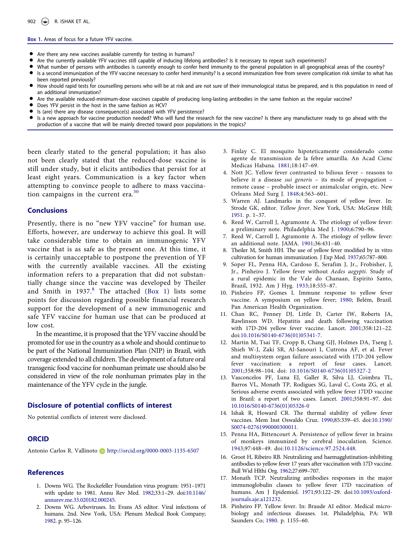#### <span id="page-3-15"></span>Box 1. Areas of focus for a future YFV vaccine.

- Are there any new vaccines available currently for testing in humans?
- Are the currently available YFV vaccines still capable of inducing lifelong antibodies? Is it necessary to repeat such experiments?
- What number of persons with antibodies is currently enough to confer herd immunity to the general population in all geographical areas of the country?
- Is a second immunization of the YFV vaccine necessary to confer herd immunity? Is a second immunization free from severe complication risk similar to what has been reported previously?
- How should rapid tests for counselling persons who will be at risk and are not sure of their immunological status be prepared, and is this population in need of an additional immunization?
- Are the available reduced-minimum-dose vaccines capable of producing long-lasting antibodies in the same fashion as the regular vaccine?
- Does YFV persist in the host in the same fashion as HCV?
- Is (are) there any disease consequence(s) associated with YFV persistence?
- Is a new approach for vaccine production needed? Who will fund the research for the new vaccine? Is there any manufacturer ready to go ahead with the production of a vaccine that will be mainly directed toward poor populations in the tropics?

been clearly stated to the general population; it has also not been clearly stated that the reduced-dose vaccine is still under study, but it elicits antibodies that persist for at least eight years. Communication is a key factor when attempting to convince people to adhere to mass vaccination campaigns in the current era. $30$ 

#### <span id="page-3-16"></span>**Conclusions**

Presently, there is no "new YFV vaccine" for human use. Efforts, however, are underway to achieve this goal. It will take considerable time to obtain an immunogenic YFV vaccine that is as safe as the present one. At this time, it is certainly unacceptable to postpone the prevention of YF with the currently available vaccines. All the existing information refers to a preparation that did not substantially change since the vaccine was developed by Theiler and Smith in  $1937.8$  $1937.8$  The attached [\(Box 1](#page-3-15)) lists some points for discussion regarding possible financial research support for the development of a new immunogenic and safe YFV vaccine for human use that can be produced at low cost.

In the meantime, it is proposed that the YFV vaccine should be promoted for use in the country as a whole and should continue to be part of the National Immunization Plan (NIP) in Brazil, with coverage extended to all children. The development of a future oral transgenic food vaccine for nonhuman primate use should also be considered in view of the role nonhuman primates play in the maintenance of the YFV cycle in the jungle.

#### Disclosure of potential conflicts of interest

No potential conflicts of interest were disclosed.

### **ORCID**

Antonio Carlos R. Vallinoto Dhttp://orcid.org/0000-0003-1135-6507

#### References

- <span id="page-3-0"></span>1. Downs WG. The Rockefeller Foundation virus program: 1951–1971 with update to 1981. Annu Rev Med. [1982](#page-1-1);33:1–29. doi[:10.1146/](http://dx.doi.org/10.1146/annurev.me.33.020182.000245) [annurev.me.33.020182.000245](http://dx.doi.org/10.1146/annurev.me.33.020182.000245).
- <span id="page-3-1"></span>2. Downs WG. Arboviruses. In: Evans AS editor. Viral infections of humans. 2nd. New York, USA: Plenum Medical Book Company; [1982.](#page-1-2) p. 95–126.
- <span id="page-3-2"></span>3. Finlay C. El mosquito hipoteticamente considerado como agente de transmission de la febre amarilla. An Acad Cienc Medicas Habana. [1881;](#page-1-3)18:147–69.
- 4. Nott JC. Yellow fever contrasted to bilious fever reasons to believe it a disease sui generis – its mode of propagation – remote cause – probable insect or animalcular origin, etc. New Orleans Med Surg J. 1848;4:563–601.
- <span id="page-3-3"></span>5. Warren AJ. Landmarks in the conquest of yellow fever. In: Strode GK, editor. Yellow fever. New York, USA: McGraw Hill; [1951](#page-1-4). p. 1–37.
- <span id="page-3-4"></span>6. Reed W, Carroll J, Agramonte A. The etiology of yellow fever: a preliminary note. Philadelphia Med J. [1900](#page-1-5);6:790–96.
- <span id="page-3-5"></span>7. Reed W, Carroll J, Agramonte A. The etiology of yellow fever: an additional note. JAMA. [1901](#page-1-5);36:431–40.
- <span id="page-3-6"></span>8. Theiler M, Smith HH. The use of yellow fever modified by in vitro cultivation for human immunization. J Exp Med. [1937](#page-1-6);65:787–800.
- <span id="page-3-7"></span>9. Soper FL, Penna HA, Cardoso E, Serafim J, Jr., Frobisher, J, Jr., Pinheiro J. Yellow fever without Aedes aegypti. Study of a rural epidemic in the Vale do Chanaan, Espirito Santo, Brazil, 1932. Am J Hyg. [1933;](#page-1-7)18:555–87.
- <span id="page-3-8"></span>10. Pinheiro FP, Gomes L Immune response to yellow fever vaccine. A symposium on yellow fever; [1980](#page-2-0); Belém, Brazil. Pan American Health Organization.
- <span id="page-3-9"></span>11. Chan RC, Penney DJ, Little D, Carter IW, Roberts JA, Rawlinson WD. Hepatitis and death following vaccination with 17D-204 yellow fever vaccine. Lancet. [2001](#page-2-1);358:121–22. doi[:10.1016/S0140-6736\(01\)05341-7](http://dx.doi.org/10.1016/S0140-6736(01)05341-7).
- 12. Martin M, Tsai TF, Cropp B, Chang GJJ, Holmes DA, Tseng J, Shieh W-J, Zaki SR, Al-Sanouri I, Cutrona AF, et al. Fever and multisystem organ failure associated with 17D-204 yellow fever vaccination: a report of four cases. Lancet. 2001;358:98–104. doi: [10.1016/S0140-6736\(01\)05327-2](http://dx.doi.org/10.1016/S0140-6736(01)05327-2)
- <span id="page-3-10"></span>13. Vasconcelos PF, Luna EJ, Galler R, Silva LJ, Coimbra TL, Barros VL, Monath TP, Rodigues SG, Laval C, Costa ZG, et al. Serious adverse events associated with yellow fever 17DD vaccine in Brazil: a report of two cases. Lancet. [2001](#page-2-1);358:91–97. doi: [10.1016/S0140-6736\(01\)05326-0](http://dx.doi.org/10.1016/S0140-6736(01)05326-0)
- <span id="page-3-11"></span>14. Ishak R, Howard CR. The thermal stability of yellow fever vaccines. Mem Inst Oswaldo Cruz. [1990;](#page-2-2)85:339–45. doi:[10.1590/](http://dx.doi.org/10.1590/S0074-02761990000300011) [S0074-02761990000300011.](http://dx.doi.org/10.1590/S0074-02761990000300011)
- <span id="page-3-12"></span>15. Penna HA, Bittencourt A. Persistence of yellow fever in brains of monkeys immunized by cerebral inoculation. Science. [1943;](#page-2-3)97:448–49. doi:[10.1126/science.97.2524.448.](http://dx.doi.org/10.1126/science.97.2524.448)
- <span id="page-3-13"></span>16. Groot H, Ribeiro RB. Neutralizing and haemagglutination-inhibiting antibodies to yellow fever 17 years after vaccination with 17D vaccine. Bull Wid Hlthi Org. [1962](#page-2-4);27:699–707.
- <span id="page-3-14"></span>17. Monath TCP. Neutralizing antibodies responses in the major immunoglobulin classes to yellow fever 17D vaccination of humans. Am J Epidemiol. [1971;](#page-2-5)93:122–29. doi:[10.1093/oxford](http://dx.doi.org/10.1093/oxfordjournals.aje.a121232)[journals.aje.a121232](http://dx.doi.org/10.1093/oxfordjournals.aje.a121232).
- 18. Pinheiro FP. Yellow fever. In: Braude AI editor. Medical microbiology and infectious diseases. 1st. Philadelphia, PA: WB Saunders Co; 1980. p. 1155–60.